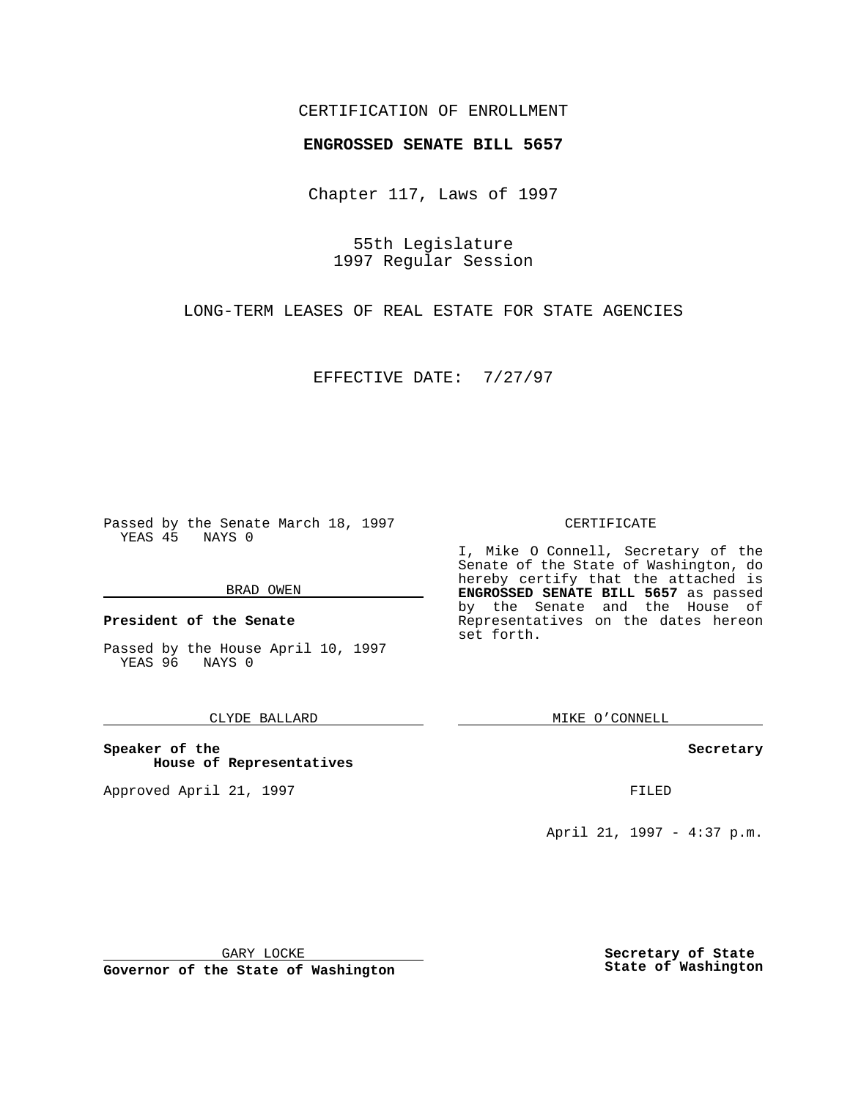## CERTIFICATION OF ENROLLMENT

# **ENGROSSED SENATE BILL 5657**

Chapter 117, Laws of 1997

55th Legislature 1997 Regular Session

LONG-TERM LEASES OF REAL ESTATE FOR STATE AGENCIES

EFFECTIVE DATE: 7/27/97

Passed by the Senate March 18, 1997 YEAS 45 NAYS 0

### BRAD OWEN

**President of the Senate**

Passed by the House April 10, 1997 YEAS 96 NAYS 0

## CLYDE BALLARD

**Speaker of the House of Representatives**

Approved April 21, 1997 FILED

### CERTIFICATE

I, Mike O Connell, Secretary of the Senate of the State of Washington, do hereby certify that the attached is **ENGROSSED SENATE BILL 5657** as passed by the Senate and the House of Representatives on the dates hereon set forth.

MIKE O'CONNELL

#### **Secretary**

April 21, 1997 - 4:37 p.m.

GARY LOCKE

**Governor of the State of Washington**

**Secretary of State State of Washington**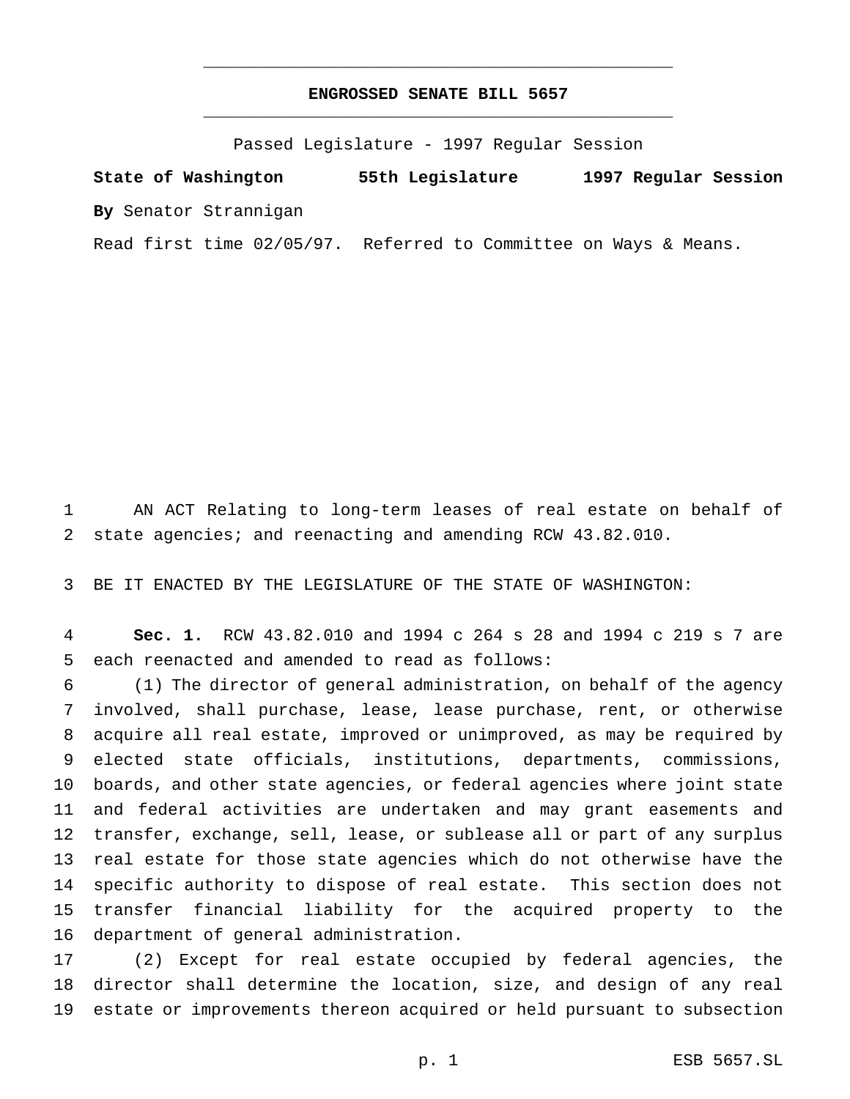# **ENGROSSED SENATE BILL 5657** \_\_\_\_\_\_\_\_\_\_\_\_\_\_\_\_\_\_\_\_\_\_\_\_\_\_\_\_\_\_\_\_\_\_\_\_\_\_\_\_\_\_\_\_\_\_\_

\_\_\_\_\_\_\_\_\_\_\_\_\_\_\_\_\_\_\_\_\_\_\_\_\_\_\_\_\_\_\_\_\_\_\_\_\_\_\_\_\_\_\_\_\_\_\_

Passed Legislature - 1997 Regular Session

**State of Washington 55th Legislature 1997 Regular Session By** Senator Strannigan

Read first time 02/05/97. Referred to Committee on Ways & Means.

 AN ACT Relating to long-term leases of real estate on behalf of state agencies; and reenacting and amending RCW 43.82.010.

BE IT ENACTED BY THE LEGISLATURE OF THE STATE OF WASHINGTON:

 **Sec. 1.** RCW 43.82.010 and 1994 c 264 s 28 and 1994 c 219 s 7 are each reenacted and amended to read as follows:

 (1) The director of general administration, on behalf of the agency involved, shall purchase, lease, lease purchase, rent, or otherwise acquire all real estate, improved or unimproved, as may be required by elected state officials, institutions, departments, commissions, boards, and other state agencies, or federal agencies where joint state and federal activities are undertaken and may grant easements and transfer, exchange, sell, lease, or sublease all or part of any surplus real estate for those state agencies which do not otherwise have the specific authority to dispose of real estate. This section does not transfer financial liability for the acquired property to the department of general administration.

 (2) Except for real estate occupied by federal agencies, the director shall determine the location, size, and design of any real estate or improvements thereon acquired or held pursuant to subsection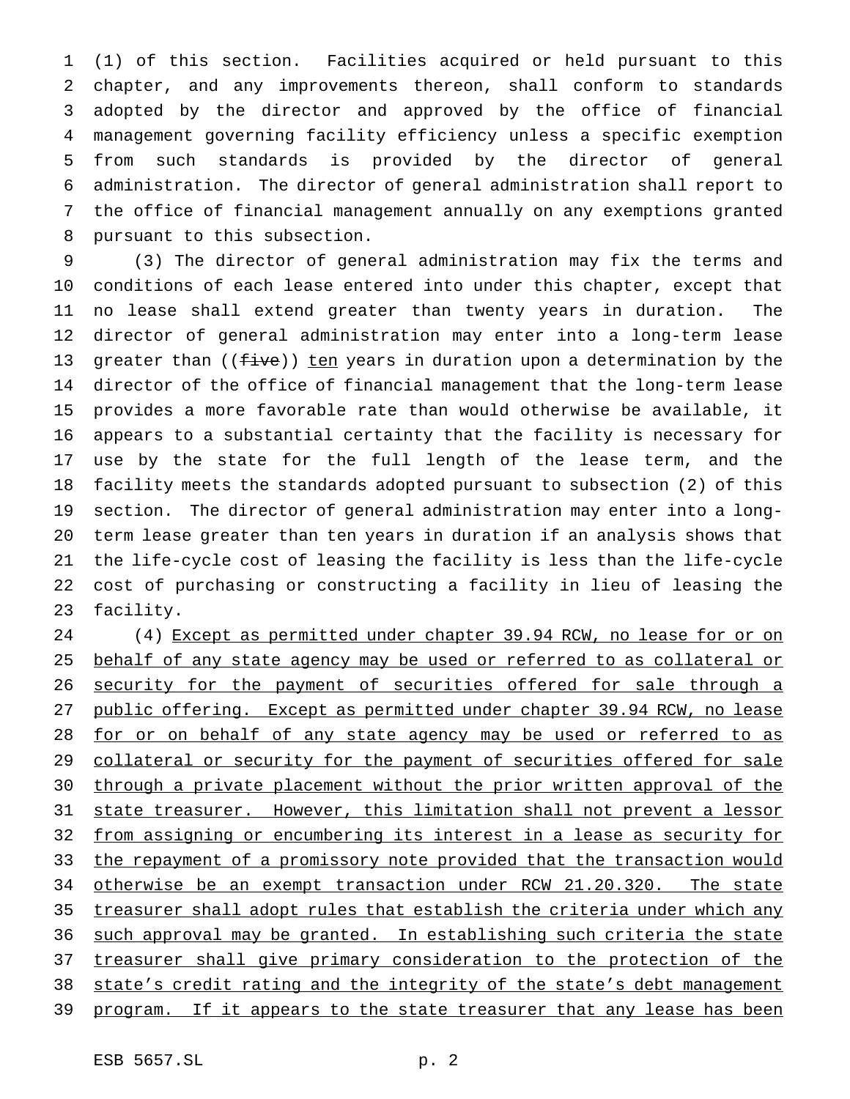(1) of this section. Facilities acquired or held pursuant to this chapter, and any improvements thereon, shall conform to standards adopted by the director and approved by the office of financial management governing facility efficiency unless a specific exemption from such standards is provided by the director of general administration. The director of general administration shall report to the office of financial management annually on any exemptions granted pursuant to this subsection.

 (3) The director of general administration may fix the terms and conditions of each lease entered into under this chapter, except that no lease shall extend greater than twenty years in duration. The director of general administration may enter into a long-term lease 13 greater than  $(($   $\pm i$ ve $))$  ten years in duration upon a determination by the director of the office of financial management that the long-term lease provides a more favorable rate than would otherwise be available, it appears to a substantial certainty that the facility is necessary for use by the state for the full length of the lease term, and the facility meets the standards adopted pursuant to subsection (2) of this section. The director of general administration may enter into a long- term lease greater than ten years in duration if an analysis shows that the life-cycle cost of leasing the facility is less than the life-cycle cost of purchasing or constructing a facility in lieu of leasing the facility.

24 (4) Except as permitted under chapter 39.94 RCW, no lease for or on 25 behalf of any state agency may be used or referred to as collateral or 26 security for the payment of securities offered for sale through a public offering. Except as permitted under chapter 39.94 RCW, no lease 28 for or on behalf of any state agency may be used or referred to as 29 collateral or security for the payment of securities offered for sale through a private placement without the prior written approval of the state treasurer. However, this limitation shall not prevent a lessor from assigning or encumbering its interest in a lease as security for 33 the repayment of a promissory note provided that the transaction would 34 otherwise be an exempt transaction under RCW 21.20.320. The state treasurer shall adopt rules that establish the criteria under which any such approval may be granted. In establishing such criteria the state treasurer shall give primary consideration to the protection of the 38 state's credit rating and the integrity of the state's debt management 39 program. If it appears to the state treasurer that any lease has been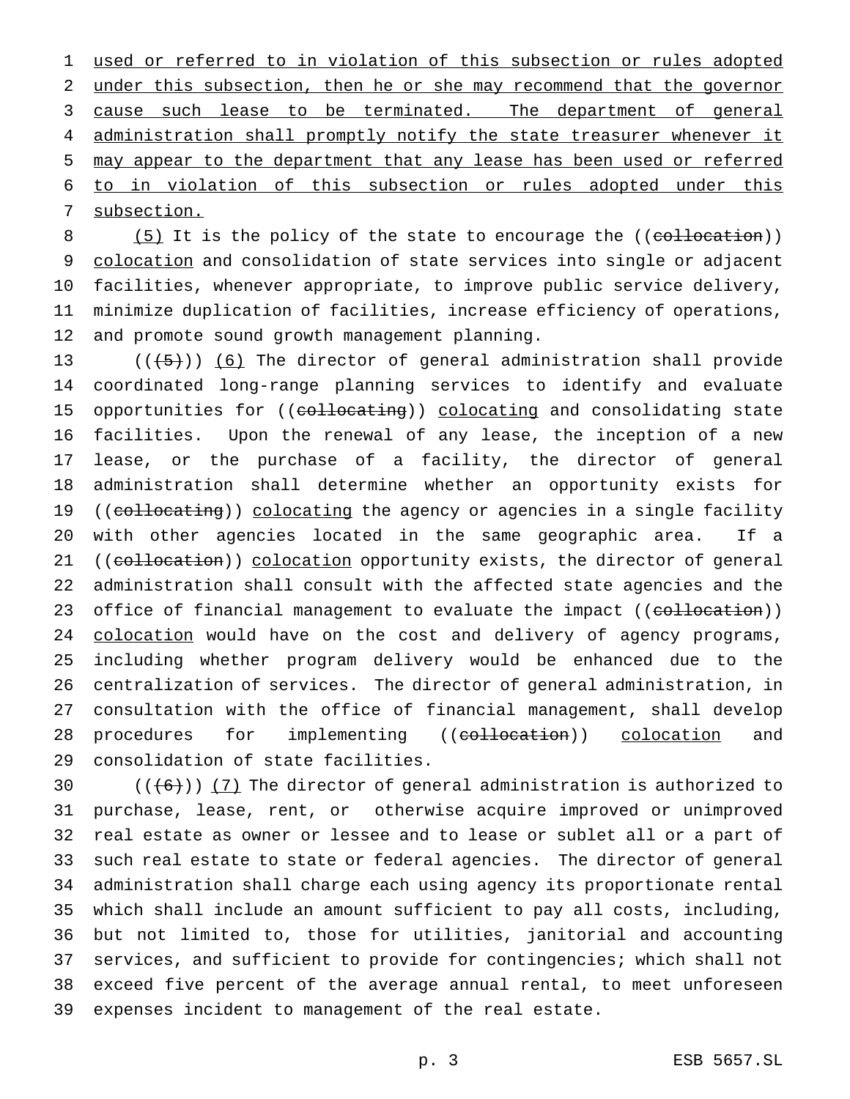used or referred to in violation of this subsection or rules adopted under this subsection, then he or she may recommend that the governor 3 cause such lease to be terminated. The department of general 4 administration shall promptly notify the state treasurer whenever it may appear to the department that any lease has been used or referred to in violation of this subsection or rules adopted under this subsection.

8 (5) It is the policy of the state to encourage the ((collocation)) colocation and consolidation of state services into single or adjacent facilities, whenever appropriate, to improve public service delivery, minimize duplication of facilities, increase efficiency of operations, and promote sound growth management planning.

 $((\frac{1}{5}))$  (6) The director of general administration shall provide coordinated long-range planning services to identify and evaluate 15 opportunities for ((collocating)) colocating and consolidating state facilities. Upon the renewal of any lease, the inception of a new lease, or the purchase of a facility, the director of general administration shall determine whether an opportunity exists for 19 ((collocating)) colocating the agency or agencies in a single facility with other agencies located in the same geographic area. If a 21 ((collocation)) colocation opportunity exists, the director of general administration shall consult with the affected state agencies and the 23 office of financial management to evaluate the impact ((collocation)) 24 colocation would have on the cost and delivery of agency programs, including whether program delivery would be enhanced due to the centralization of services. The director of general administration, in consultation with the office of financial management, shall develop 28 procedures for implementing ((collocation)) colocation and consolidation of state facilities.

 $((+6))$   $(7)$  The director of general administration is authorized to purchase, lease, rent, or otherwise acquire improved or unimproved real estate as owner or lessee and to lease or sublet all or a part of such real estate to state or federal agencies. The director of general administration shall charge each using agency its proportionate rental which shall include an amount sufficient to pay all costs, including, but not limited to, those for utilities, janitorial and accounting services, and sufficient to provide for contingencies; which shall not exceed five percent of the average annual rental, to meet unforeseen expenses incident to management of the real estate.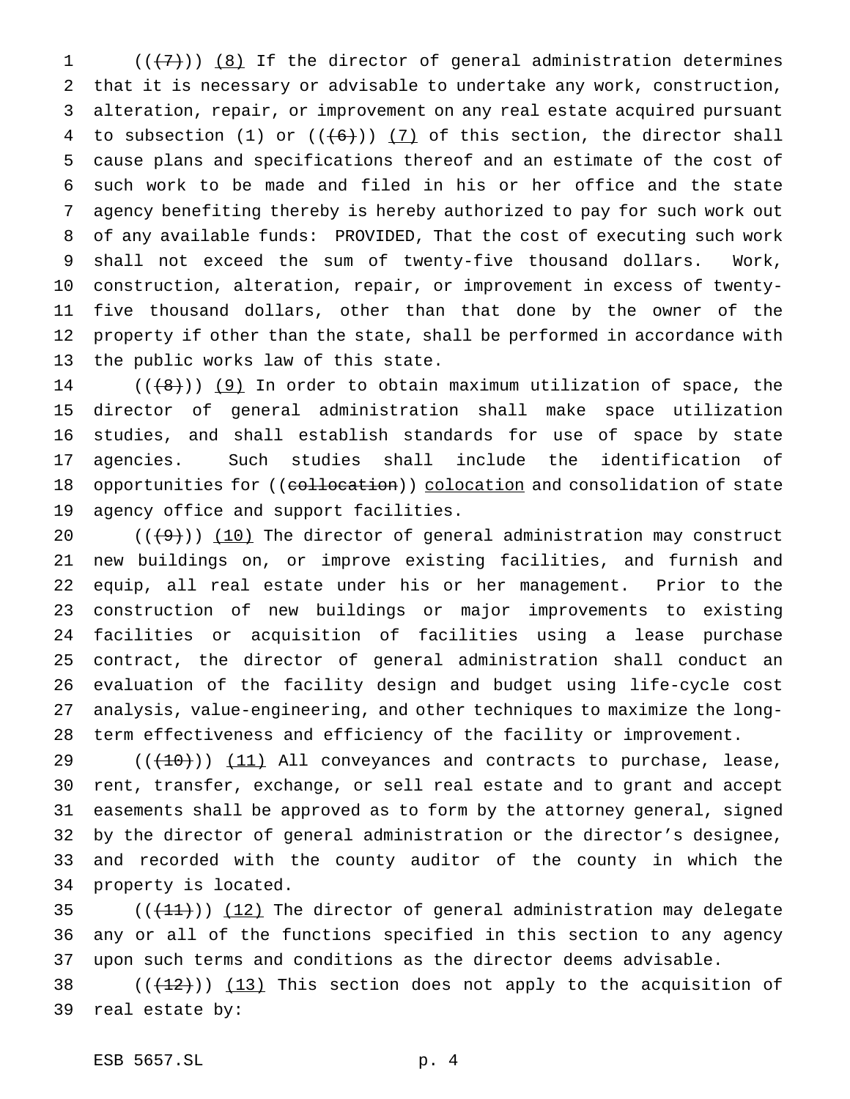$((+7))$   $(8)$  If the director of general administration determines that it is necessary or advisable to undertake any work, construction, alteration, repair, or improvement on any real estate acquired pursuant 4 to subsection (1) or  $((+6))$  (7) of this section, the director shall cause plans and specifications thereof and an estimate of the cost of such work to be made and filed in his or her office and the state agency benefiting thereby is hereby authorized to pay for such work out of any available funds: PROVIDED, That the cost of executing such work shall not exceed the sum of twenty-five thousand dollars. Work, construction, alteration, repair, or improvement in excess of twenty- five thousand dollars, other than that done by the owner of the property if other than the state, shall be performed in accordance with the public works law of this state.

 $((+8))$  (9) In order to obtain maximum utilization of space, the director of general administration shall make space utilization studies, and shall establish standards for use of space by state agencies. Such studies shall include the identification of 18 opportunities for ((collocation)) colocation and consolidation of state agency office and support facilities.

 $((+9))$  (10) The director of general administration may construct new buildings on, or improve existing facilities, and furnish and equip, all real estate under his or her management. Prior to the construction of new buildings or major improvements to existing facilities or acquisition of facilities using a lease purchase contract, the director of general administration shall conduct an evaluation of the facility design and budget using life-cycle cost analysis, value-engineering, and other techniques to maximize the long-term effectiveness and efficiency of the facility or improvement.

 $((+10))$   $(11)$  All conveyances and contracts to purchase, lease, rent, transfer, exchange, or sell real estate and to grant and accept easements shall be approved as to form by the attorney general, signed by the director of general administration or the director's designee, and recorded with the county auditor of the county in which the property is located.

35  $((+11))$   $(12)$  The director of general administration may delegate any or all of the functions specified in this section to any agency upon such terms and conditions as the director deems advisable.

38  $((+12))$   $(13)$  This section does not apply to the acquisition of real estate by: